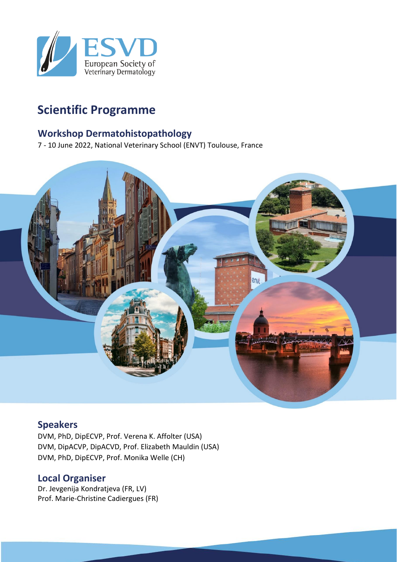

## **Scientific Programme**

#### **Workshop Dermatohistopathology**

7 - 10 June 2022, National Veterinary School (ENVT) Toulouse, France



### **Speakers**

DVM, PhD, DipECVP, Prof. Verena K. Affolter (USA) DVM, DipACVP, DipACVD, Prof. Elizabeth Mauldin (USA) DVM, PhD, DipECVP, Prof. Monika Welle (CH)

### **Local Organiser**

Dr. Jevgenija Kondratjeva (FR, LV) Prof. Marie-Christine Cadiergues (FR)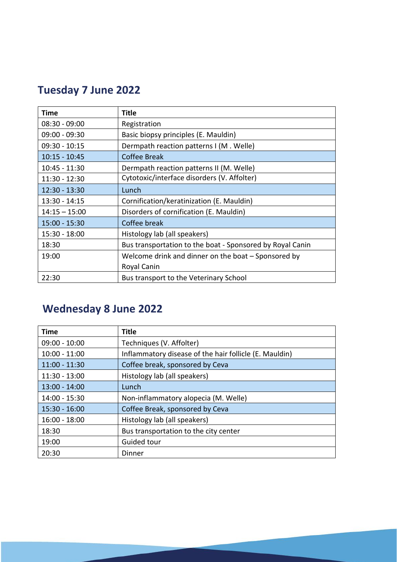# **Tuesday 7 June 2022**

| Time            | <b>Title</b>                                              |
|-----------------|-----------------------------------------------------------|
| $08:30 - 09:00$ | Registration                                              |
| $09:00 - 09:30$ | Basic biopsy principles (E. Mauldin)                      |
| $09:30 - 10:15$ | Dermpath reaction patterns I (M. Welle)                   |
| $10:15 - 10:45$ | Coffee Break                                              |
| $10:45 - 11:30$ | Dermpath reaction patterns II (M. Welle)                  |
| 11:30 - 12:30   | Cytotoxic/interface disorders (V. Affolter)               |
| $12:30 - 13:30$ | Lunch                                                     |
| $13:30 - 14:15$ | Cornification/keratinization (E. Mauldin)                 |
| $14:15 - 15:00$ | Disorders of cornification (E. Mauldin)                   |
| 15:00 - 15:30   | Coffee break                                              |
| 15:30 - 18:00   | Histology lab (all speakers)                              |
| 18:30           | Bus transportation to the boat - Sponsored by Royal Canin |
| 19:00           | Welcome drink and dinner on the boat - Sponsored by       |
|                 | Royal Canin                                               |
| 22:30           | Bus transport to the Veterinary School                    |

# **Wednesday 8 June 2022**

| <b>Time</b>     | <b>Title</b>                                           |
|-----------------|--------------------------------------------------------|
| $09:00 - 10:00$ | Techniques (V. Affolter)                               |
| $10:00 - 11:00$ | Inflammatory disease of the hair follicle (E. Mauldin) |
| $11:00 - 11:30$ | Coffee break, sponsored by Ceva                        |
| 11:30 - 13:00   | Histology lab (all speakers)                           |
| $13:00 - 14:00$ | Lunch                                                  |
| 14:00 - 15:30   | Non-inflammatory alopecia (M. Welle)                   |
| $15:30 - 16:00$ | Coffee Break, sponsored by Ceva                        |
| $16:00 - 18:00$ | Histology lab (all speakers)                           |
| 18:30           | Bus transportation to the city center                  |
| 19:00           | Guided tour                                            |
| 20:30           | Dinner                                                 |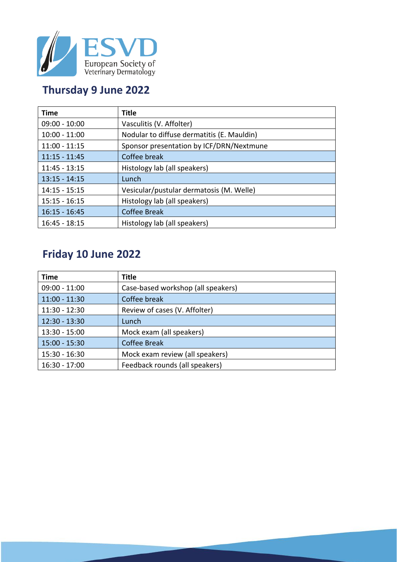

### **Thursday 9 June 2022**

| <b>Time</b>     | <b>Title</b>                               |
|-----------------|--------------------------------------------|
| $09:00 - 10:00$ | Vasculitis (V. Affolter)                   |
| $10:00 - 11:00$ | Nodular to diffuse dermatitis (E. Mauldin) |
| $11:00 - 11:15$ | Sponsor presentation by ICF/DRN/Nextmune   |
| $11:15 - 11:45$ | Coffee break                               |
| $11:45 - 13:15$ | Histology lab (all speakers)               |
| $13:15 - 14:15$ | Lunch                                      |
| $14:15 - 15:15$ | Vesicular/pustular dermatosis (M. Welle)   |
| $15:15 - 16:15$ | Histology lab (all speakers)               |
| $16:15 - 16:45$ | <b>Coffee Break</b>                        |
| $16:45 - 18:15$ | Histology lab (all speakers)               |

## **Friday 10 June 2022**

| <b>Time</b>     | <b>Title</b>                       |
|-----------------|------------------------------------|
| $09:00 - 11:00$ | Case-based workshop (all speakers) |
| $11:00 - 11:30$ | Coffee break                       |
| $11:30 - 12:30$ | Review of cases (V. Affolter)      |
| $12:30 - 13:30$ | Lunch                              |
| 13:30 - 15:00   | Mock exam (all speakers)           |
| $15:00 - 15:30$ | <b>Coffee Break</b>                |
| 15:30 - 16:30   | Mock exam review (all speakers)    |
| 16:30 - 17:00   | Feedback rounds (all speakers)     |